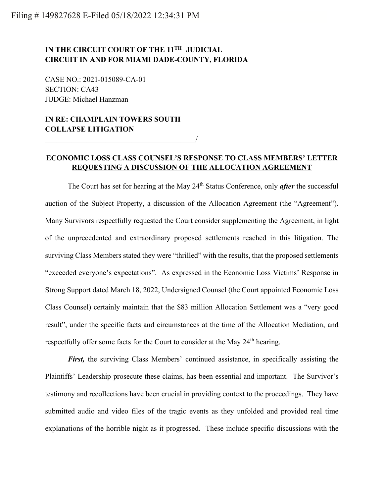## **IN THE CIRCUIT COURT OF THE 11TH JUDICIAL CIRCUIT IN AND FOR MIAMI DADE-COUNTY, FLORIDA**

CASE NO.: 2021-015089-CA-01 SECTION: CA43 JUDGE: Michael Hanzman

## **IN RE: CHAMPLAIN TOWERS SOUTH COLLAPSE LITIGATION**

 $\overline{\phantom{a}}$ 

## **ECONOMIC LOSS CLASS COUNSEL'S RESPONSE TO CLASS MEMBERS' LETTER REQUESTING A DISCUSSION OF THE ALLOCATION AGREEMENT**

The Court has set for hearing at the May 24<sup>th</sup> Status Conference, only *after* the successful auction of the Subject Property, a discussion of the Allocation Agreement (the "Agreement"). Many Survivors respectfully requested the Court consider supplementing the Agreement, in light of the unprecedented and extraordinary proposed settlements reached in this litigation. The surviving Class Members stated they were "thrilled" with the results, that the proposed settlements "exceeded everyone's expectations". As expressed in the Economic Loss Victims' Response in Strong Support dated March 18, 2022, Undersigned Counsel (the Court appointed Economic Loss Class Counsel) certainly maintain that the \$83 million Allocation Settlement was a "very good result", under the specific facts and circumstances at the time of the Allocation Mediation, and respectfully offer some facts for the Court to consider at the May 24<sup>th</sup> hearing.

*First,* the surviving Class Members' continued assistance, in specifically assisting the Plaintiffs' Leadership prosecute these claims, has been essential and important. The Survivor's testimony and recollections have been crucial in providing context to the proceedings. They have submitted audio and video files of the tragic events as they unfolded and provided real time explanations of the horrible night as it progressed. These include specific discussions with the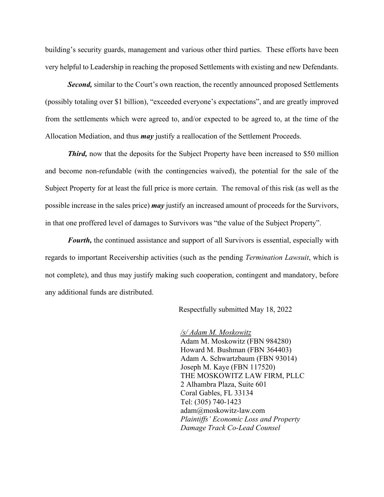building's security guards, management and various other third parties. These efforts have been very helpful to Leadership in reaching the proposed Settlements with existing and new Defendants.

**Second,** similar to the Court's own reaction, the recently announced proposed Settlements (possibly totaling over \$1 billion), "exceeded everyone's expectations", and are greatly improved from the settlements which were agreed to, and/or expected to be agreed to, at the time of the Allocation Mediation, and thus *may* justify a reallocation of the Settlement Proceeds.

*Third*, now that the deposits for the Subject Property have been increased to \$50 million and become non-refundable (with the contingencies waived), the potential for the sale of the Subject Property for at least the full price is more certain. The removal of this risk (as well as the possible increase in the sales price) *may* justify an increased amount of proceeds for the Survivors, in that one proffered level of damages to Survivors was "the value of the Subject Property".

*Fourth,* the continued assistance and support of all Survivors is essential, especially with regards to important Receivership activities (such as the pending *Termination Lawsuit*, which is not complete), and thus may justify making such cooperation, contingent and mandatory, before any additional funds are distributed.

Respectfully submitted May 18, 2022

*/s/ Adam M. Moskowitz* Adam M. Moskowitz (FBN 984280) Howard M. Bushman (FBN 364403) Adam A. Schwartzbaum (FBN 93014) Joseph M. Kaye (FBN 117520) THE MOSKOWITZ LAW FIRM, PLLC 2 Alhambra Plaza, Suite 601 Coral Gables, FL 33134 Tel: (305) 740-1423 adam@moskowitz-law.com *Plaintiffs' Economic Loss and Property Damage Track Co-Lead Counsel*